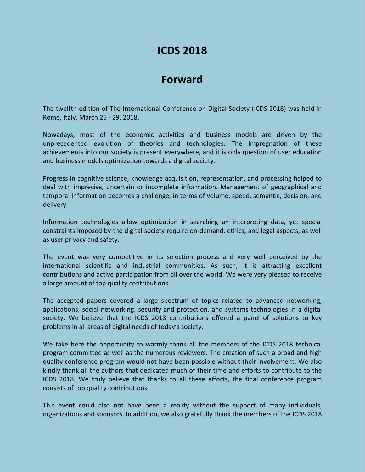# **ICDS 2018**

## **Forward**

The twelfth edition of The International Conference on Digital Society (ICDS 2018) was held in Rome, Italy, March 25 - 29, 2018.

Nowadays, most of the economic activities and business models are driven by the unprecedented evolution of theories and technologies. The impregnation of these achievements into our society is present everywhere, and it is only question of user education and business models optimization towards a digital society.

Progress in cognitive science, knowledge acquisition, representation, and processing helped to deal with imprecise, uncertain or incomplete information. Management of geographical and temporal information becomes a challenge, in terms of volume, speed, semantic, decision, and delivery.

Information technologies allow optimization in searching an interpreting data, yet special constraints imposed by the digital society require on-demand, ethics, and legal aspects, as well as user privacy and safety.

The event was very competitive in its selection process and very well perceived by the international scientific and industrial communities. As such, it is attracting excellent contributions and active participation from all over the world. We were very pleased to receive a large amount of top quality contributions.

The accepted papers covered a large spectrum of topics related to advanced networking, applications, social networking, security and protection, and systems technologies in a digital society. We believe that the ICDS 2018 contributions offered a panel of solutions to key problems in all areas of digital needs of today's society.

We take here the opportunity to warmly thank all the members of the ICDS 2018 technical program committee as well as the numerous reviewers. The creation of such a broad and high quality conference program would not have been possible without their involvement. We also kindly thank all the authors that dedicated much of their time and efforts to contribute to the ICDS 2018. We truly believe that thanks to all these efforts, the final conference program consists of top quality contributions.

This event could also not have been a reality without the support of many individuals, organizations and sponsors. In addition, we also gratefully thank the members of the ICDS 2018